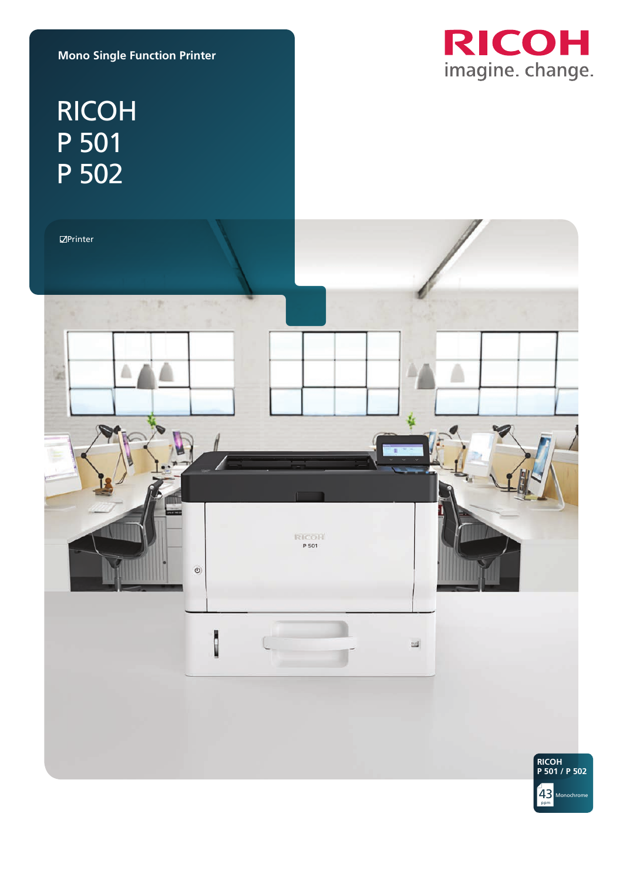**Mono Single Function Printer**



# RICOH P 501 P 502

 $\mathbb Z$ Printer



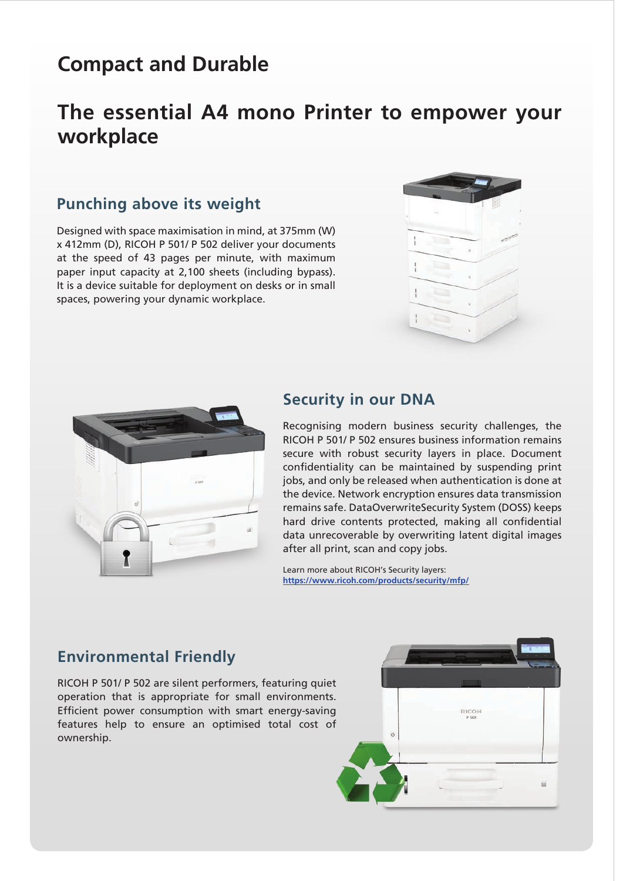# **Compact and Durable**

## **The essential A4 mono Printer to empower your workplace**

## **Punching above its weight**

Designed with space maximisation in mind, at 375mm (W) x 412mm (D), RICOH P 501/ P 502 deliver your documents at the speed of 43 pages per minute, with maximum paper input capacity at 2,100 sheets (including bypass). It is a device suitable for deployment on desks or in small spaces, powering your dynamic workplace.





#### **Security in our DNA**

Recognising modern business security challenges, the RICOH P 501/ P 502 ensures business information remains secure with robust security layers in place. Document confidentiality can be maintained by suspending print jobs, and only be released when authentication is done at the device. Network encryption ensures data transmission remains safe. DataOverwriteSecurity System (DOSS) keeps hard drive contents protected, making all confidential data unrecoverable by overwriting latent digital images after all print, scan and copy jobs.

Learn more about RICOH's Security layers: **https://www.ricoh.com/products/security/mfp/**

### **Environmental Friendly**

RICOH P 501/ P 502 are silent performers, featuring quiet operation that is appropriate for small environments. Efficient power consumption with smart energy-saving features help to ensure an optimised total cost of ownership.